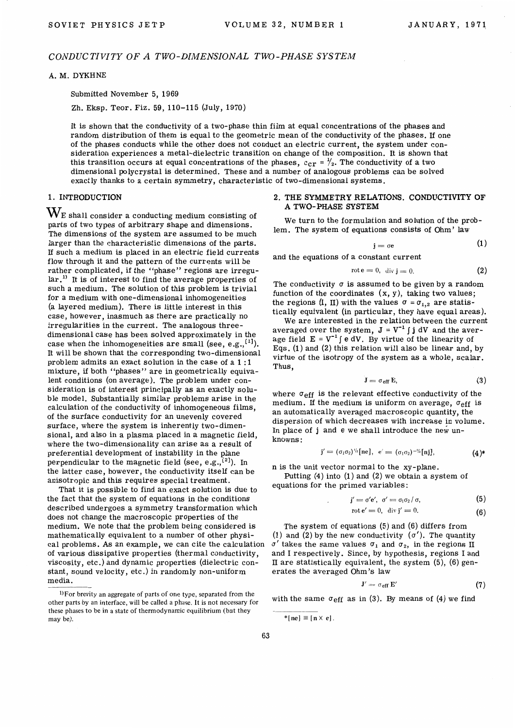# *CONDUCTIVITY OF A TWO-DIMENSIONAL TWO-PHASE SYSTEM*

#### A.M. DYKHNE

Submitted November 5, 1969

Zh. Eksp. Teor. Fiz. 59, 110-115 (July, 1970)

It is shown that the conductivity of a two-phase thin film at equal concentrations of the phases and random distribution of them is equal to the geometric mean of the conductivity of the phases. If one of the phases conducts while the other does not conduct an electric current, the system under consideration experiences a metal-dielectric transition on change of the composition. It is shown that this transition occurs at equal concentrations of the phases,  $c_{cr} = \frac{1}{2}$ . The conductivity of a two dimensional polycrystal is determined. These and a number of analogous problems can be solved exactly thanks to a certain symmetry, characteristic of two-dimensional systems.

#### 1. INTRODUCTION

 $\mathbf{W}_{\rm E}$  shall consider a conducting medium consisting of parts of two types of arbitrary shape and dimensions. The dimensions of the system are assumed to be much larger than the characteristic dimensions of the parts. If such a medium is placed in an electric field currents flow through it and the pattern of the currents will be rather complicated, if the "phase" regions are irregular.<sup>11</sup> It is of interest to find the average properties of such a medium. The solution of this problem is trivial for a medium with one-dimensional inhomogeneities (a layered medium}. There is little interest in this case, however, inasmuch as there are practically no irregularities in the current. The analogous threedimensional case has been solved approximately in the case when the inhomogeneities are small (see, e.g., $[1]$ ). It will be shown that the corresponding two-dimensional problem admits an exact solution in the case of a 1 : 1 mixture, if both "phases" are in geometrically equivalent conditions (on average}. The problem under consideration is of interest principally as an exactly soluble model. Substantially similar problems arise in the calculation of the conductivity of inhomogeneous films, of the surface conductivity for an unevenly covered surface, where the system is inherently two-dimensional, and also in a plasma placed in a magnetic field, where the two-dimensionality can arise as a result of preferential development of instability in the plane perpendicular to the magnetic field (see, e.g., $^{[2]}$ ). In the latter case, however, the conductivity itself can be anisotropic and this requires special treatment.

That it is possible to find an exact solution is due to the fact that the system of equations in the conditions described undergoes a symmetry transformation which does not change the macroscopic properties of the medium. We note that the problem being considered is mathematically equivalent to a number of other physical problems. As an example, we can cite the calculation of various dissipative properties (thermal conductivity, viscosity, etc.) and dynamic properties (dielectric constant, sound velocity, etc.) in randomly non-uniform media.

#### 2. THE SYMMETRY RELATIONS. CONDUCTIVITY OF A TWO-PHASE SYSTEM

We turn to the formulation and solution of the problem. The system of equations consists of Ohm' law

$$
j = \sigma e \tag{1}
$$

and the equations of a constant current

$$
rot \mathbf{e} = 0, \ \text{div } \mathbf{j} = 0. \tag{2}
$$

The conductivity  $\sigma$  is assumed to be given by a random function of the coordinates  $(x, y)$ , taking two values; the regions (I, II) with the values  $\sigma = \sigma_{1,2}$  are statistically equivalent (in particular, they have equal areas).

We are interested in the relation between the current averaged over the system,  $J = V^{-1} \int j dV$  and the average field  $E = V^{-1} \int e dV$ . By virtue of the linearity of Eqs.  $(1)$  and  $(2)$  this relation will also be linear and, by virtue of the isotropy of the system as a whole, scalar. Thus,

$$
J = \sigma_{eff} E, \qquad (3)
$$

where  $\sigma_{\text{eff}}$  is the relevant effective conductivity of the medium. If the medium is uniform on average,  $\sigma_{eff}$  is an automatically averaged macroscopic quantity, the dispersion of which decreases with increase in volume. In place of j and e we shall introduce the new unknowns:

$$
j' = (\sigma_1 \sigma_2)^{\frac{1}{2}} [ne], e' = (\sigma_1 \sigma_2)^{-\frac{1}{2}} [n\mathbf{i}],
$$
 (4)\*

n is the unit vector normal to the xy-plane. Putting (4) into (1) and (2} we obtain a system of

equations for the primed variables:

$$
j' = \sigma' e', \ \sigma' = \sigma_1 \sigma_2 / \sigma, \tag{5}
$$

$$
\operatorname{rot} \mathbf{e}' = 0, \quad \operatorname{div} \mathbf{j}' = 0. \tag{6}
$$

The system of equations (5) and (6) differs from (1) and (2) by the new conductivity  $(\sigma')$ . The quantity  $\sigma'$  takes the same values  $\sigma_1$  and  $\sigma_2$ , in the regions II and I respectively. Since, by hypothesis, regions I and II are statistically equivalent, the system  $(5)$ ,  $(6)$  generates the averaged Ohm's law

$$
\mathbf{J}' = \sigma_{\rm eff} \, \mathbf{E}' \tag{7}
$$

with the same  $\sigma_{eff}$  as in (3). By means of (4) we find

 $1$ For brevity an aggregate of parts of one type, separated from the other parts by an interface, will be called a phase. It is not necessary for these phases to be in a state of thermodynamic equilibrium (but they may be).

 $*$ [ne]  $\equiv$  [n  $\times$  e].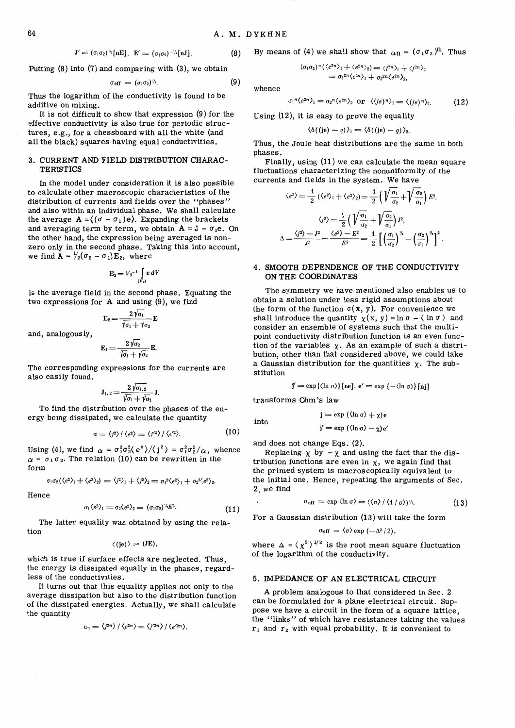$$
J'=(\sigma_1\sigma_2)^{\eta_2}[\text{nE}], E'=(\sigma_1\sigma_2)^{-\eta_2}[\text{nJ}]. \hspace{1.5cm} (8)
$$

Putting (8) into (7) and comparing with (3), we obtain

$$
\sigma_{\rm eff} = (\sigma_1 \sigma_2)^{\frac{1}{2}}.
$$
 (9)

Thus the logarithm of the conductivity is found to be additive on mixing.

It is not difficult to show that expression (9) for the effective conductivity is also true for periodic structures, e.g., for a chessboard with all the white (and all the black) squares having equal conductivities.

### 3. CURRENT AND FIELD DISTRIBUTION CHARAC-**TERISTICS**

In the model under consideration it is also possible to calculate other macroscopic characteristics of the distribution of currents and fields over the "phases" and also within an individual phase. We shall calculate the average  $A = ((\sigma - \sigma_1)e)$ . Expanding the brackets and averaging term by term, we obtain  $A = J - \sigma_1 e$ . On the other hand, the expression being averaged is nonzero only in the second phase. Taking this into account, we find  $A = \frac{1}{2}(\sigma_2 - \sigma_1)E_2$ , where

$$
E_2=V_2^{-1}\int\limits_{(V_2)}e\,dV
$$

is the average field in the second phase. Equating the two expressions for A and using (9), we find

$$
\mathbf{E}_2 = \frac{2\,\sqrt{\sigma_1}}{\sqrt{\sigma_1} + \sqrt{\sigma_2}}\,\mathbf{E}
$$

and, analogously,

$$
\mathbf{E}_1 = \frac{2\,\sqrt{\sigma_2}}{\sqrt{\sigma_1} + \sqrt{\sigma_2}}\,\mathbf{E}.
$$

The corresponding expressions for the currents are also easily found.

$$
\mathbf{J}_{1, 2} = \frac{2 \sqrt{\sigma_{1, 2}}}{\sqrt{\sigma_{1}} + \sqrt{\sigma_{2}}} \mathbf{J}.
$$

To find the distribution over the phases of the energy being dissipated, we calculate the quantity

$$
\alpha = \langle j^2 \rangle / \langle e^2 \rangle = \langle j'^2 \rangle / \langle e'^2 \rangle. \tag{10}
$$

Using (4), we find  $\alpha = \frac{\sigma_1^2 \sigma_2^2}{e^2} / \langle j^2 \rangle = \frac{\sigma_1^2 \sigma_2^2}{\alpha}$ , whence  $\alpha$  =  $\sigma_1 \sigma_2$ . The relation (10) can be rewritten in the form

$$
\sigma_1\sigma_2(\langle e^2\rangle_1+\langle e^2\rangle_2)=\langle j^2\rangle_1+\langle j^2\rangle_2=\sigma_1{}^2\langle e^2\rangle_1+\sigma_2{}^2\langle e^2\rangle_2.
$$

Hence

$$
\sigma_1 \langle e^2 \rangle_1 = \sigma_2 \langle e^2 \rangle_2 = (\sigma_1 \sigma_2)^{\nu_1} E^2. \tag{11}
$$

The latter equality was obtained by using the relation

 $\langle$ (je) $\rangle$  = (JE)

which is true if surface effects are neglected. Thus, the energy is dissipated equally in the phases, regardless of the conductivities.

It turns out that this equality applies not only to the average dissipation but also to the distribution function of the dissipated energies. Actually, we shall calculate the quantity

$$
\alpha_n = \langle j^{2n} \rangle / \langle e^{2n} \rangle = \langle j'^{2n} \rangle / \langle e'^{2n} \rangle.
$$

By means of (4) we shall show that 
$$
\alpha_n = (\sigma_1 \sigma_2)^n
$$
. Thus

$$
(\sigma_1 \sigma_2)^n (\langle e^{2n} \rangle_1 + \langle e^{2n} \rangle_2) = \langle j^{2n} \rangle_1 + \langle j^{2n} \rangle_2
$$
  
=  $\sigma_1^{2n} \langle e^{2n} \rangle_1 + \sigma_2^{2n} \langle e^{2n} \rangle_2$ ,

whence

$$
\sigma_1^{n} \langle e^{2n} \rangle_1 = \sigma_2^{n} \langle e^{2n} \rangle_2 \text{ or } \langle (je)^n \rangle_1 = \langle (je)^n \rangle_2. \tag{12}
$$

Using (12), it is easy to prove the equality

$$
\langle \delta((j\mathbf{e})-q)\rangle_1 = \langle \delta((j\mathbf{e})-q)\rangle_2.
$$

Thus, the Joule heat distributions are the same in both phases.

Finally, using (11) we can calculate the mean square fluctuations characterizing the nonuniformity of the

currents and fields in the system. We have  
\n
$$
\langle e^2 \rangle = \frac{1}{2} (\langle e^2 \rangle_1 + \langle e^2 \rangle_2) = \frac{1}{2} \left( \sqrt{\frac{\sigma_1}{\sigma_2}} + \sqrt{\frac{\sigma_2}{\sigma_1}} \right) E^2,
$$
\n
$$
\langle i^2 \rangle = \frac{1}{2} \left( \sqrt{\frac{\sigma_1}{\sigma_2}} + \sqrt{\frac{\sigma_2}{\sigma_1}} \right) I^2,
$$
\n
$$
\Delta = \frac{\langle i^2 \rangle - I^2}{I^2} = \frac{\langle e^2 \rangle - E^2}{E^2} = \frac{1}{2} \left[ \left( \frac{\sigma_1}{\sigma_2} \right)^{1/2} - \left( \frac{\sigma_2}{\sigma_1} \right)^{1/2} \right]^2
$$

# 4. SMOOTH DEPENDENCE OF THE CONDUCTIVITY ON THE COORDINATES

The symmetry we have mentioned also enables us to obtain a solution under less rigid assumptions about the form of the function  $\sigma(x, y)$ . For convenience we shall introduce the quantity  $\chi(x, y) = \ln \sigma - \langle \ln \sigma \rangle$  and consider an ensemble of systems such that the multipoint conductivity distribution function is an even function of the variables  $\chi$ . As an example of such a distribution, other than that considered above, we could take a Gaussian distribution for the quantities  $\chi$ . The substitution

$$
\mathbf{j}' = \exp\{\langle \ln \sigma \rangle\} [\text{ne}], \, e' = \exp\left\{-\langle \ln \sigma \rangle\} [\text{nj}]
$$

transforms Ohm's law

into

$$
\mathbf{j} = \exp (\langle \ln \sigma \rangle + \chi) \mathbf{e}
$$
  

$$
\mathbf{j'} = \exp (\langle \ln \sigma \rangle - \chi) \mathbf{e}
$$

and does not change Eqs. (2).

Replacing  $\chi$  by  $-\chi$  and using the fact that the distribution functions are even in  $x$ , we again find that the primed system is macroscopically equivalent to the initial one. Hence, repeating the arguments of Sec. 2, we find

$$
\sigma_{\rm eff} = \exp \langle \ln \sigma \rangle = (\langle \sigma \rangle / \langle 1/\sigma \rangle)^{\gamma_{2}}.
$$
 (13)

For a Gaussian distribution (13) will take the form

$$
\sigma_{eff}=\langle\sigma\rangle\exp{(-\Delta^2/2)},
$$

where  $\Delta = \langle \chi^2 \rangle^{1/2}$  is the root mean square fluctuation of the logarithm of the conductivity.

#### 5. IMPEDANCE OF AN ELECTRICAL CIRCUIT

A problem analogous to that considered in Sec. 2 can be formulated for a plane electrical circuit. Suppose we have a circuit in the form of a square lattice, the "links" of which have resistances taking the values  $r_1$  and  $r_2$  with equal probability. It is convenient to